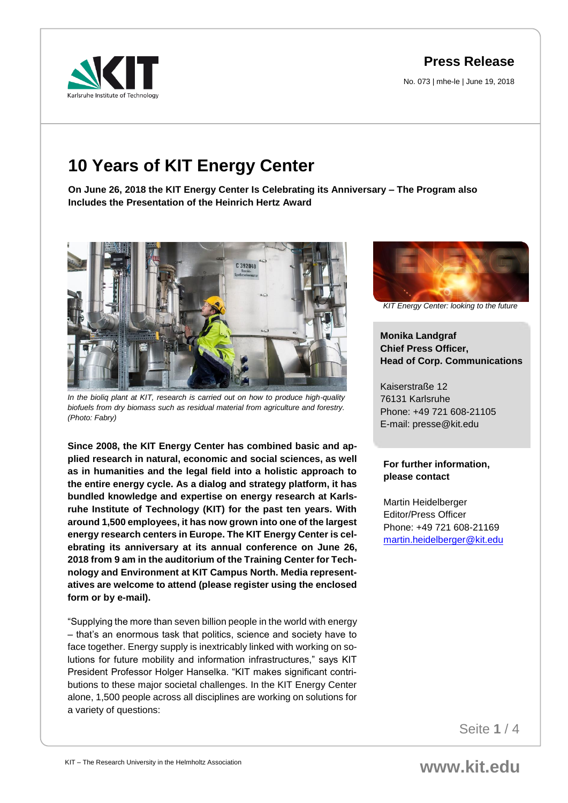## **Press Release**

No. 073 | mhe-le | June 19, 2018

# **10 Years of KIT Energy Center**

**On June 26, 2018 the KIT Energy Center Is Celebrating its Anniversary – The Program also Includes the Presentation of the Heinrich Hertz Award**



*In the bioliq plant at KIT, research is carried out on how to produce high-quality biofuels from dry biomass such as residual material from agriculture and forestry. (Photo: Fabry)*

**Since 2008, the KIT Energy Center has combined basic and applied research in natural, economic and social sciences, as well as in humanities and the legal field into a holistic approach to the entire energy cycle. As a dialog and strategy platform, it has bundled knowledge and expertise on energy research at Karlsruhe Institute of Technology (KIT) for the past ten years. With around 1,500 employees, it has now grown into one of the largest energy research centers in Europe. The KIT Energy Center is celebrating its anniversary at its annual conference on June 26, 2018 from 9 am in the auditorium of the Training Center for Technology and Environment at KIT Campus North. Media representatives are welcome to attend (please register using the enclosed form or by e-mail).**

"Supplying the more than seven billion people in the world with energy – that's an enormous task that politics, science and society have to face together. Energy supply is inextricably linked with working on solutions for future mobility and information infrastructures," says KIT President Professor Holger Hanselka. "KIT makes significant contributions to these major societal challenges. In the KIT Energy Center alone, 1,500 people across all disciplines are working on solutions for a variety of questions:



*KIT Energy Center: looking to the future*

### **Monika Landgraf Chief Press Officer, Head of Corp. Communications**

Kaiserstraße 12 76131 Karlsruhe Phone: +49 721 608-21105 E-mail: presse@kit.edu

#### **For further information, please contact**

Martin Heidelberger Editor/Press Officer Phone: +49 721 608-21169 [martin.heidelberger@kit.edu](mailto:martin.heidelberger@kit.edu)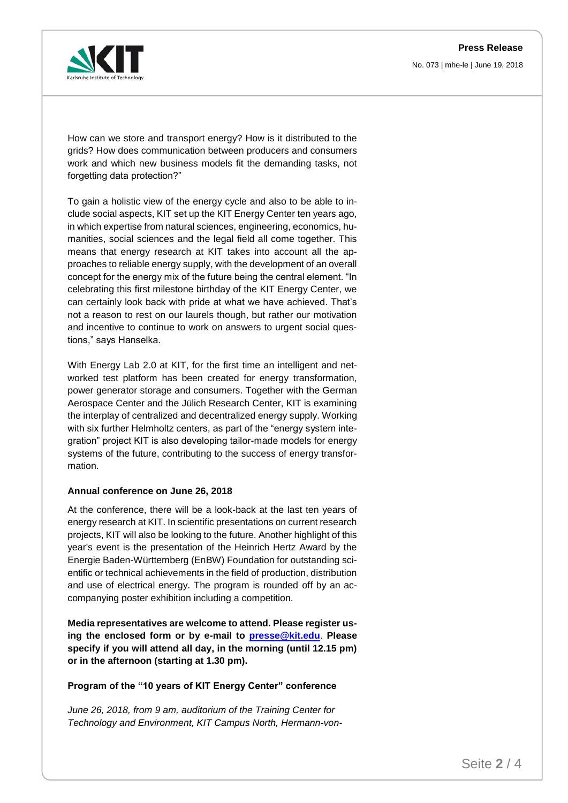

How can we store and transport energy? How is it distributed to the grids? How does communication between producers and consumers work and which new business models fit the demanding tasks, not forgetting data protection?"

To gain a holistic view of the energy cycle and also to be able to include social aspects, KIT set up the KIT Energy Center ten years ago, in which expertise from natural sciences, engineering, economics, humanities, social sciences and the legal field all come together. This means that energy research at KIT takes into account all the approaches to reliable energy supply, with the development of an overall concept for the energy mix of the future being the central element. "In celebrating this first milestone birthday of the KIT Energy Center, we can certainly look back with pride at what we have achieved. That's not a reason to rest on our laurels though, but rather our motivation and incentive to continue to work on answers to urgent social questions," says Hanselka.

With Energy Lab 2.0 at KIT, for the first time an intelligent and networked test platform has been created for energy transformation, power generator storage and consumers. Together with the German Aerospace Center and the Jülich Research Center, KIT is examining the interplay of centralized and decentralized energy supply. Working with six further Helmholtz centers, as part of the "energy system integration" project KIT is also developing tailor-made models for energy systems of the future, contributing to the success of energy transformation.

#### **Annual conference on June 26, 2018**

At the conference, there will be a look-back at the last ten years of energy research at KIT. In scientific presentations on current research projects, KIT will also be looking to the future. Another highlight of this year's event is the presentation of the Heinrich Hertz Award by the Energie Baden-Württemberg (EnBW) Foundation for outstanding scientific or technical achievements in the field of production, distribution and use of electrical energy. The program is rounded off by an accompanying poster exhibition including a competition.

**Media representatives are welcome to attend. Please register using the enclosed form or by e-mail to [presse@kit.edu](mailto:presse@kit.edu)**. **Please specify if you will attend all day, in the morning (until 12.15 pm) or in the afternoon (starting at 1.30 pm).**

#### **Program of the "10 years of KIT Energy Center" conference**

*June 26, 2018, from 9 am, auditorium of the Training Center for Technology and Environment, KIT Campus North, Hermann-von-*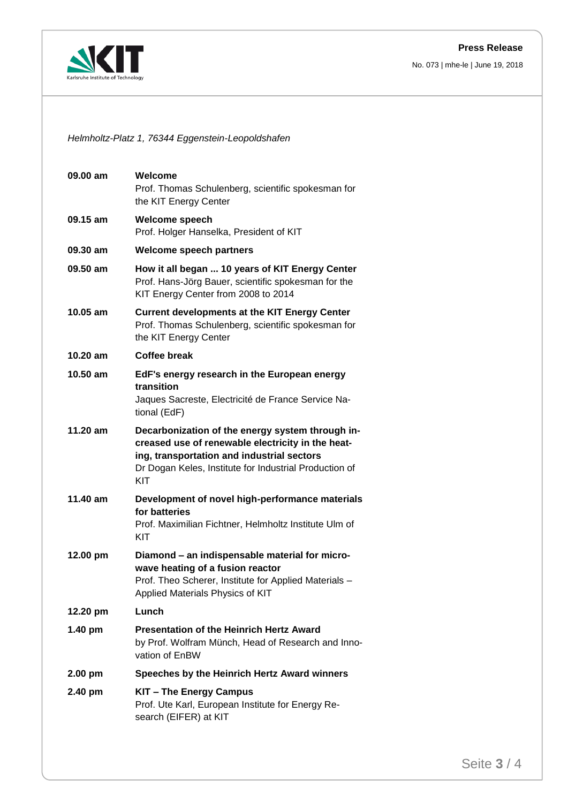#### **Press Release**

No. 073 | mhe-le | June 19, 2018



*Helmholtz-Platz 1, 76344 Eggenstein-Leopoldshafen*

| 09.00 am   | Welcome<br>Prof. Thomas Schulenberg, scientific spokesman for<br>the KIT Energy Center                                                                                                                               |
|------------|----------------------------------------------------------------------------------------------------------------------------------------------------------------------------------------------------------------------|
| 09.15 am   | <b>Welcome speech</b><br>Prof. Holger Hanselka, President of KIT                                                                                                                                                     |
| 09.30 am   | <b>Welcome speech partners</b>                                                                                                                                                                                       |
| 09.50 am   | How it all began  10 years of KIT Energy Center<br>Prof. Hans-Jörg Bauer, scientific spokesman for the<br>KIT Energy Center from 2008 to 2014                                                                        |
| $10.05$ am | <b>Current developments at the KIT Energy Center</b><br>Prof. Thomas Schulenberg, scientific spokesman for<br>the KIT Energy Center                                                                                  |
| $10.20$ am | <b>Coffee break</b>                                                                                                                                                                                                  |
| 10.50 am   | EdF's energy research in the European energy<br>transition<br>Jaques Sacreste, Electricité de France Service Na-<br>tional (EdF)                                                                                     |
| 11.20 am   | Decarbonization of the energy system through in-<br>creased use of renewable electricity in the heat-<br>ing, transportation and industrial sectors<br>Dr Dogan Keles, Institute for Industrial Production of<br>KIT |
| 11.40 am   | Development of novel high-performance materials<br>for batteries<br>Prof. Maximilian Fichtner, Helmholtz Institute Ulm of<br>KIT                                                                                     |
| 12.00 pm   | Diamond - an indispensable material for micro-<br>wave heating of a fusion reactor<br>Prof. Theo Scherer, Institute for Applied Materials -<br>Applied Materials Physics of KIT                                      |
| 12.20 pm   | Lunch                                                                                                                                                                                                                |
| $1.40$ pm  | <b>Presentation of the Heinrich Hertz Award</b><br>by Prof. Wolfram Münch, Head of Research and Inno-<br>vation of EnBW                                                                                              |
| $2.00$ pm  | Speeches by the Heinrich Hertz Award winners                                                                                                                                                                         |
| 2.40 pm    | KIT - The Energy Campus<br>Prof. Ute Karl, European Institute for Energy Re-<br>search (EIFER) at KIT                                                                                                                |